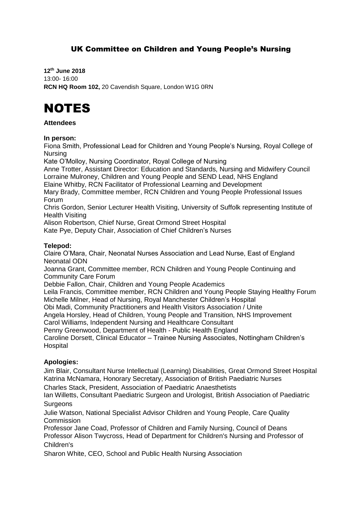# UK Committee on Children and Young People's Nursing

**12th June 2018** 13:00- 16:00 **RCN HQ Room 102,** 20 Cavendish Square, London W1G 0RN

# **NOTES**

# **Attendees**

#### **In person:**

Fiona Smith, Professional Lead for Children and Young People's Nursing, Royal College of Nursing

Kate O'Molloy, Nursing Coordinator, Royal College of Nursing

Anne Trotter, Assistant Director: Education and Standards, Nursing and Midwifery Council Lorraine Mulroney, Children and Young People and SEND Lead, NHS England

Elaine Whitby, RCN Facilitator of Professional Learning and Development

Mary Brady, Committee member, RCN Children and Young People Professional Issues Forum

Chris Gordon, Senior Lecturer Health Visiting, University of Suffolk representing Institute of Health Visiting

Alison Robertson, Chief Nurse, Great Ormond Street Hospital

Kate Pye, Deputy Chair, Association of Chief Children's Nurses

# **Telepod:**

Claire O'Mara, Chair, Neonatal Nurses Association and Lead Nurse, East of England Neonatal ODN

Joanna Grant, Committee member, RCN Children and Young People Continuing and Community Care Forum

Debbie Fallon, Chair, Children and Young People Academics

Leila Francis, Committee member, RCN Children and Young People Staying Healthy Forum Michelle Milner, Head of Nursing, Royal Manchester Children's Hospital

Obi Madi, Community Practitioners and Health Visitors Association / Unite

Angela Horsley, Head of Children, Young People and Transition, NHS Improvement

Carol Williams, Independent Nursing and Healthcare Consultant

Penny Greenwood, Department of Health - Public Health England Caroline Dorsett, Clinical Educator – Trainee Nursing Associates, Nottingham Children's **Hospital** 

# **Apologies:**

Jim Blair, Consultant Nurse Intellectual (Learning) Disabilities, Great Ormond Street Hospital Katrina McNamara, Honorary Secretary, Association of British Paediatric Nurses

Charles Stack, President, Association of Paediatric Anaesthetists

Ian Willetts, Consultant Paediatric Surgeon and Urologist, British Association of Paediatric **Surgeons** 

Julie Watson, National Specialist Advisor Children and Young People, Care Quality Commission

Professor Jane Coad, Professor of Children and Family Nursing, Council of Deans Professor Alison Twycross, Head of Department for Children's Nursing and Professor of Children's

Sharon White, CEO, School and Public Health Nursing Association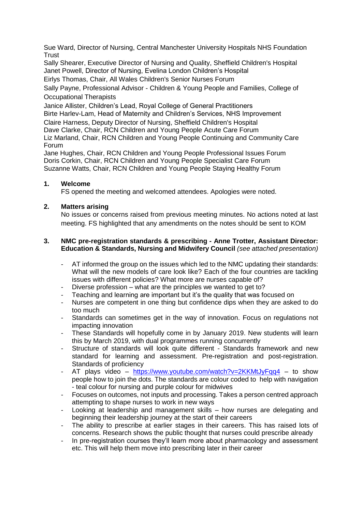Sue Ward, Director of Nursing, Central Manchester University Hospitals NHS Foundation **Trust** 

Sally Shearer, Executive Director of Nursing and Quality, Sheffield Children's Hospital Janet Powell, Director of Nursing, Evelina London Children's Hospital

Eirlys Thomas, Chair, All Wales Children's Senior Nurses Forum

Sally Payne, Professional Advisor - Children & Young People and Families, College of Occupational Therapists

Janice Allister, Children's Lead, Royal College of General Practitioners Birte Harlev-Lam, Head of Maternity and Children's Services, NHS Improvement Claire Harness, Deputy Director of Nursing, Sheffield Children's Hospital Dave Clarke, Chair, RCN Children and Young People Acute Care Forum Liz Marland, Chair, RCN Children and Young People Continuing and Community Care Forum

Jane Hughes, Chair, RCN Children and Young People Professional Issues Forum Doris Corkin, Chair, RCN Children and Young People Specialist Care Forum Suzanne Watts, Chair, RCN Children and Young People Staying Healthy Forum

# **1. Welcome**

FS opened the meeting and welcomed attendees. Apologies were noted.

# **2. Matters arising**

No issues or concerns raised from previous meeting minutes. No actions noted at last meeting. FS highlighted that any amendments on the notes should be sent to KOM

# **3. NMC pre-registration standards & prescribing - Anne Trotter, Assistant Director: Education & Standards, Nursing and Midwifery Council** *(see attached presentation)*

- AT informed the group on the issues which led to the NMC updating their standards: What will the new models of care look like? Each of the four countries are tackling issues with different policies? What more are nurses capable of?
- Diverse profession what are the principles we wanted to get to?
- Teaching and learning are important but it's the quality that was focused on
- Nurses are competent in one thing but confidence dips when they are asked to do too much
- Standards can sometimes get in the way of innovation. Focus on regulations not impacting innovation
- These Standards will hopefully come in by January 2019. New students will learn this by March 2019, with dual programmes running concurrently
- Structure of standards will look quite different Standards framework and new standard for learning and assessment. Pre-registration and post-registration. Standards of proficiency
- AT plays video <https://www.youtube.com/watch?v=2KKMtJyFqq4> to show people how to join the dots. The standards are colour coded to help with navigation - teal colour for nursing and purple colour for midwives
- Focuses on outcomes, not inputs and processing. Takes a person centred approach attempting to shape nurses to work in new ways
- Looking at leadership and management skills how nurses are delegating and beginning their leadership journey at the start of their careers
- The ability to prescribe at earlier stages in their careers. This has raised lots of concerns. Research shows the public thought that nurses could prescribe already
- In pre-registration courses they'll learn more about pharmacology and assessment etc. This will help them move into prescribing later in their career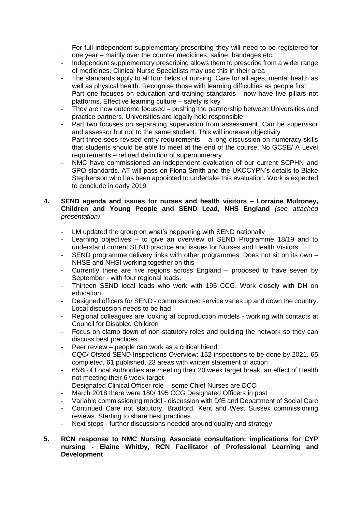- For full independent supplementary prescribing they will need to be registered for one year – mainly over the counter medicines, saline, bandages etc.
- Independent supplementary prescribing allows them to prescribe from a wider range of medicines. Clinical Nurse Specialists may use this in their area
- The standards apply to all four fields of nursing. Care for all ages, mental health as well as physical health. Recognise those with learning difficulties as people first
- Part one focuses on education and training standards now have five pillars not platforms. Effective learning culture – safety is key
- They are now outcome focused pushing the partnership between Universities and practice partners. Universities are legally held responsible
- Part two focuses on separating supervision from assessment. Can be supervisor and assessor but not to the same student. This will increase objectivity
- Part three sees revised entry requirements a long discussion on numeracy skills that students should be able to meet at the end of the course. No GCSE/ A Level requirements – refined definition of supernumerary
- NMC have commissioned an independent evaluation of our current SCPHN and SPQ standards. AT will pass on Fiona Smith and the UKCCYPN's details to Blake Stephenson who has been appointed to undertake this evaluation. Work is expected to conclude in early 2019

#### **4. SEND agenda and issues for nurses and health visitors – Lorraine Mulroney, Children and Young People and SEND Lead, NHS England** *(see attached presentation)*

- LM updated the group on what's happening with SEND nationally
- Learning objectives to give an overview of SEND Programme 18/19 and to understand current SEND practice and issues for Nurses and Health Visitors
- SEND programme delivery links with other programmes. Does not sit on its own NHSE and NHSI working together on this
- Currently there are five regions across England proposed to have seven by September - with four regional leads.
- Thirteen SEND local leads who work with 195 CCG. Work closely with DH on education
- Designed officers for SEND commissioned service varies up and down the country. Local discussion needs to be had
- Regional colleagues are looking at coproduction models working with contacts at Council for Disabled Children
- Focus on clamp down of non-statutory roles and building the network so they can discuss best practices
- Peer review people can work as a critical friend
- CQC/ Ofsted SEND Inspections Overview: 152 inspections to be done by 2021. 65 completed, 61 published. 23 areas with written statement of action
- 65% of Local Authorities are meeting their 20 week target break, an effect of Health not meeting their 6 week target
- Designated Clinical Officer role some Chief Nurses are DCO
- March 2018 there were 180/ 195 CCG Designated Officers in post
- Variable commissioning model discussion with DfE and Department of Social Care
- Continued Care not statutory. Bradford, Kent and West Sussex commissioning reviews. Starting to share best practices.
- Next steps further discussions needed around quality and strategy
- **5. RCN response to NMC Nursing Associate consultation: implications for CYP nursing - Elaine Whitby, RCN Facilitator of Professional Learning and Development**